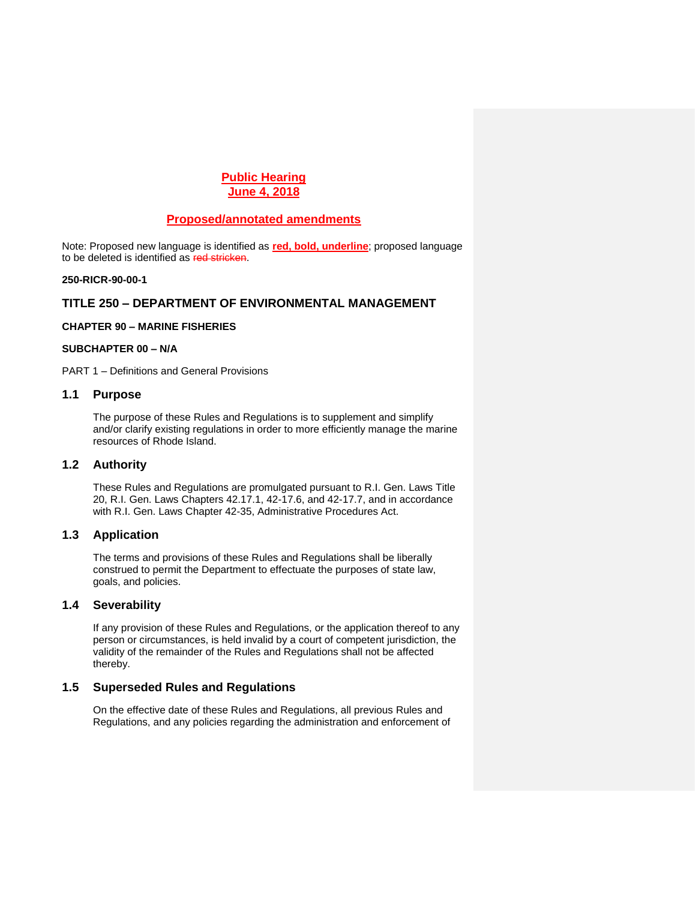# **Public Hearing June 4, 2018**

## **Proposed/annotated amendments**

Note: Proposed new language is identified as **red, bold, underline**; proposed language to be deleted is identified as red stricken.

#### **250-RICR-90-00-1**

### **TITLE 250 – DEPARTMENT OF ENVIRONMENTAL MANAGEMENT**

#### **CHAPTER 90 – MARINE FISHERIES**

#### **SUBCHAPTER 00 – N/A**

PART 1 – Definitions and General Provisions

#### **1.1 Purpose**

The purpose of these Rules and Regulations is to supplement and simplify and/or clarify existing regulations in order to more efficiently manage the marine resources of Rhode Island.

## **1.2 Authority**

These Rules and Regulations are promulgated pursuant to R.I. Gen. Laws Title 20, R.I. Gen. Laws Chapters 42.17.1, 42-17.6, and 42-17.7, and in accordance with R.I. Gen. Laws Chapter 42-35, Administrative Procedures Act.

## **1.3 Application**

The terms and provisions of these Rules and Regulations shall be liberally construed to permit the Department to effectuate the purposes of state law, goals, and policies.

# **1.4 Severability**

If any provision of these Rules and Regulations, or the application thereof to any person or circumstances, is held invalid by a court of competent jurisdiction, the validity of the remainder of the Rules and Regulations shall not be affected thereby.

# **1.5 Superseded Rules and Regulations**

On the effective date of these Rules and Regulations, all previous Rules and Regulations, and any policies regarding the administration and enforcement of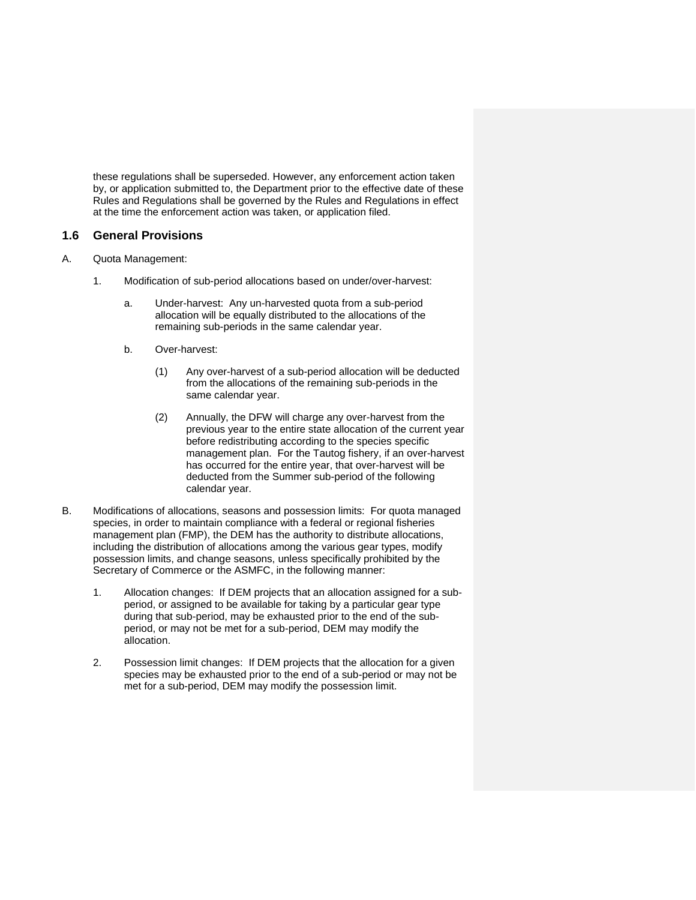these regulations shall be superseded. However, any enforcement action taken by, or application submitted to, the Department prior to the effective date of these Rules and Regulations shall be governed by the Rules and Regulations in effect at the time the enforcement action was taken, or application filed.

# **1.6 General Provisions**

- A. Quota Management:
	- 1. Modification of sub-period allocations based on under/over-harvest:
		- a. Under-harvest: Any un-harvested quota from a sub-period allocation will be equally distributed to the allocations of the remaining sub-periods in the same calendar year.
		- b. Over-harvest:
			- (1) Any over-harvest of a sub-period allocation will be deducted from the allocations of the remaining sub-periods in the same calendar year.
			- (2) Annually, the DFW will charge any over-harvest from the previous year to the entire state allocation of the current year before redistributing according to the species specific management plan. For the Tautog fishery, if an over-harvest has occurred for the entire year, that over-harvest will be deducted from the Summer sub-period of the following calendar year.
- B. Modifications of allocations, seasons and possession limits: For quota managed species, in order to maintain compliance with a federal or regional fisheries management plan (FMP), the DEM has the authority to distribute allocations, including the distribution of allocations among the various gear types, modify possession limits, and change seasons, unless specifically prohibited by the Secretary of Commerce or the ASMFC, in the following manner:
	- 1. Allocation changes: If DEM projects that an allocation assigned for a subperiod, or assigned to be available for taking by a particular gear type during that sub-period, may be exhausted prior to the end of the subperiod, or may not be met for a sub-period, DEM may modify the allocation.
	- 2. Possession limit changes: If DEM projects that the allocation for a given species may be exhausted prior to the end of a sub-period or may not be met for a sub-period, DEM may modify the possession limit.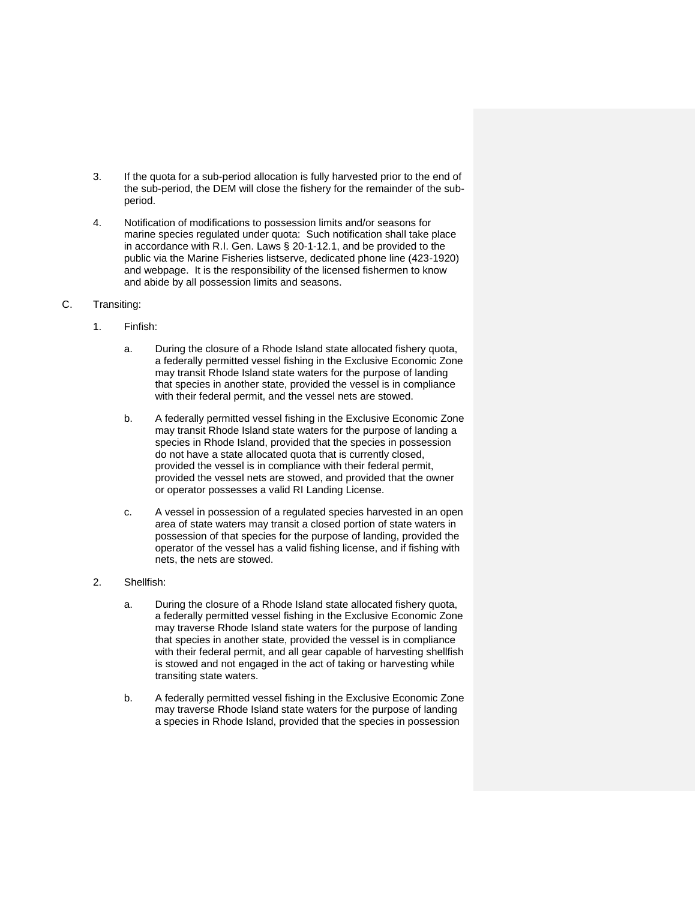- 3. If the quota for a sub-period allocation is fully harvested prior to the end of the sub-period, the DEM will close the fishery for the remainder of the subperiod.
- 4. Notification of modifications to possession limits and/or seasons for marine species regulated under quota: Such notification shall take place in accordance with R.I. Gen. Laws § 20-1-12.1, and be provided to the public via the Marine Fisheries listserve, dedicated phone line (423-1920) and webpage. It is the responsibility of the licensed fishermen to know and abide by all possession limits and seasons.
- C. Transiting:
	- 1. Finfish:
		- a. During the closure of a Rhode Island state allocated fishery quota, a federally permitted vessel fishing in the Exclusive Economic Zone may transit Rhode Island state waters for the purpose of landing that species in another state, provided the vessel is in compliance with their federal permit, and the vessel nets are stowed.
		- b. A federally permitted vessel fishing in the Exclusive Economic Zone may transit Rhode Island state waters for the purpose of landing a species in Rhode Island, provided that the species in possession do not have a state allocated quota that is currently closed, provided the vessel is in compliance with their federal permit, provided the vessel nets are stowed, and provided that the owner or operator possesses a valid RI Landing License.
		- c. A vessel in possession of a regulated species harvested in an open area of state waters may transit a closed portion of state waters in possession of that species for the purpose of landing, provided the operator of the vessel has a valid fishing license, and if fishing with nets, the nets are stowed.
	- 2. Shellfish:
		- a. During the closure of a Rhode Island state allocated fishery quota, a federally permitted vessel fishing in the Exclusive Economic Zone may traverse Rhode Island state waters for the purpose of landing that species in another state, provided the vessel is in compliance with their federal permit, and all gear capable of harvesting shellfish is stowed and not engaged in the act of taking or harvesting while transiting state waters.
		- b. A federally permitted vessel fishing in the Exclusive Economic Zone may traverse Rhode Island state waters for the purpose of landing a species in Rhode Island, provided that the species in possession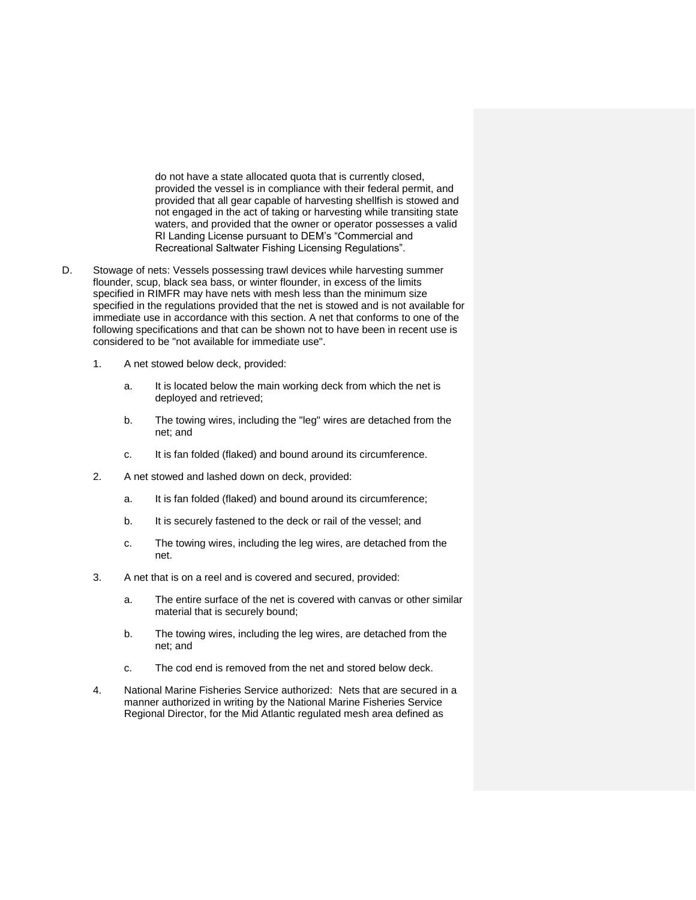do not have a state allocated quota that is currently closed, provided the vessel is in compliance with their federal permit, and provided that all gear capable of harvesting shellfish is stowed and not engaged in the act of taking or harvesting while transiting state waters, and provided that the owner or operator possesses a valid RI Landing License pursuant to DEM's "Commercial and Recreational Saltwater Fishing Licensing Regulations".

- D. Stowage of nets: Vessels possessing trawl devices while harvesting summer flounder, scup, black sea bass, or winter flounder, in excess of the limits specified in RIMFR may have nets with mesh less than the minimum size specified in the regulations provided that the net is stowed and is not available for immediate use in accordance with this section. A net that conforms to one of the following specifications and that can be shown not to have been in recent use is considered to be "not available for immediate use".
	- 1. A net stowed below deck, provided:
		- a. It is located below the main working deck from which the net is deployed and retrieved;
		- b. The towing wires, including the "leg" wires are detached from the net; and
		- c. It is fan folded (flaked) and bound around its circumference.
	- 2. A net stowed and lashed down on deck, provided:
		- a. It is fan folded (flaked) and bound around its circumference;
		- b. It is securely fastened to the deck or rail of the vessel; and
		- c. The towing wires, including the leg wires, are detached from the net.
	- 3. A net that is on a reel and is covered and secured, provided:
		- a. The entire surface of the net is covered with canvas or other similar material that is securely bound;
		- b. The towing wires, including the leg wires, are detached from the net; and
		- c. The cod end is removed from the net and stored below deck.
	- 4. National Marine Fisheries Service authorized: Nets that are secured in a manner authorized in writing by the National Marine Fisheries Service Regional Director, for the Mid Atlantic regulated mesh area defined as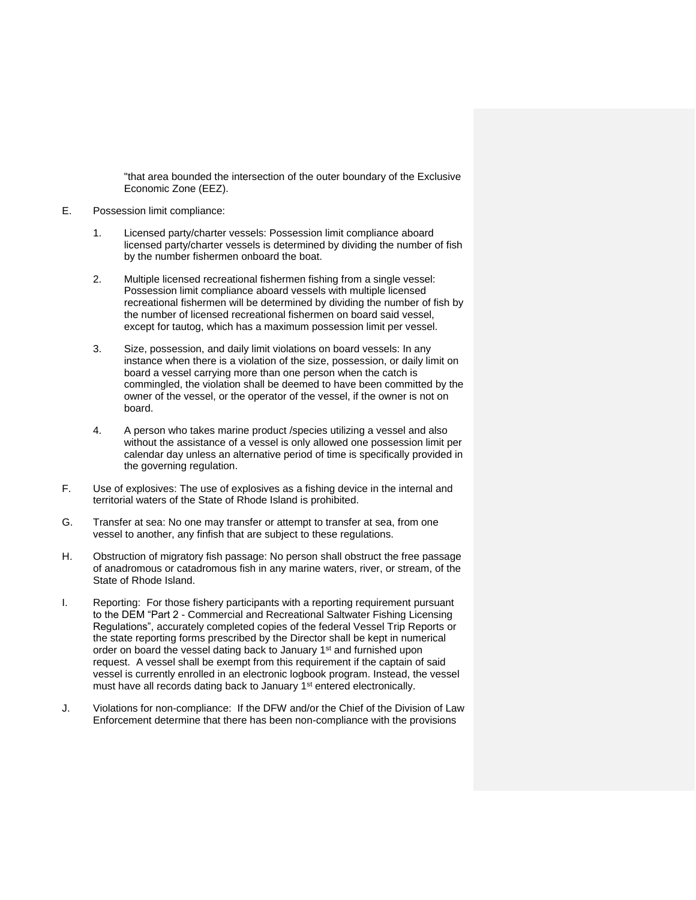"that area bounded the intersection of the outer boundary of the Exclusive Economic Zone (EEZ).

#### E. Possession limit compliance:

- 1. Licensed party/charter vessels: Possession limit compliance aboard licensed party/charter vessels is determined by dividing the number of fish by the number fishermen onboard the boat.
- 2. Multiple licensed recreational fishermen fishing from a single vessel: Possession limit compliance aboard vessels with multiple licensed recreational fishermen will be determined by dividing the number of fish by the number of licensed recreational fishermen on board said vessel, except for tautog, which has a maximum possession limit per vessel.
- 3. Size, possession, and daily limit violations on board vessels: In any instance when there is a violation of the size, possession, or daily limit on board a vessel carrying more than one person when the catch is commingled, the violation shall be deemed to have been committed by the owner of the vessel, or the operator of the vessel, if the owner is not on board.
- 4. A person who takes marine product /species utilizing a vessel and also without the assistance of a vessel is only allowed one possession limit per calendar day unless an alternative period of time is specifically provided in the governing regulation.
- F. Use of explosives: The use of explosives as a fishing device in the internal and territorial waters of the State of Rhode Island is prohibited.
- G. Transfer at sea: No one may transfer or attempt to transfer at sea, from one vessel to another, any finfish that are subject to these regulations.
- H. Obstruction of migratory fish passage: No person shall obstruct the free passage of anadromous or catadromous fish in any marine waters, river, or stream, of the State of Rhode Island.
- I. Reporting: For those fishery participants with a reporting requirement pursuant to the DEM "Part 2 - Commercial and Recreational Saltwater Fishing Licensing Regulations", accurately completed copies of the federal Vessel Trip Reports or the state reporting forms prescribed by the Director shall be kept in numerical order on board the vessel dating back to January 1<sup>st</sup> and furnished upon request. A vessel shall be exempt from this requirement if the captain of said vessel is currently enrolled in an electronic logbook program. Instead, the vessel must have all records dating back to January 1<sup>st</sup> entered electronically.
- J. Violations for non-compliance: If the DFW and/or the Chief of the Division of Law Enforcement determine that there has been non-compliance with the provisions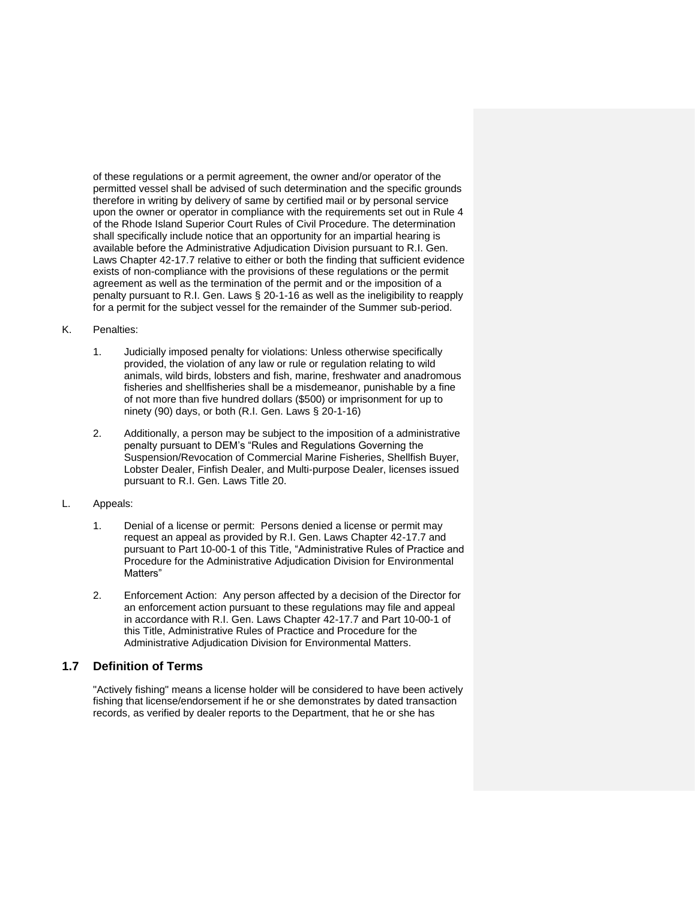of these regulations or a permit agreement, the owner and/or operator of the permitted vessel shall be advised of such determination and the specific grounds therefore in writing by delivery of same by certified mail or by personal service upon the owner or operator in compliance with the requirements set out in Rule 4 of the Rhode Island Superior Court Rules of Civil Procedure. The determination shall specifically include notice that an opportunity for an impartial hearing is available before the Administrative Adjudication Division pursuant to R.I. Gen. Laws Chapter 42-17.7 relative to either or both the finding that sufficient evidence exists of non-compliance with the provisions of these regulations or the permit agreement as well as the termination of the permit and or the imposition of a penalty pursuant to R.I. Gen. Laws § 20-1-16 as well as the ineligibility to reapply for a permit for the subject vessel for the remainder of the Summer sub-period.

- K. Penalties:
	- 1. Judicially imposed penalty for violations: Unless otherwise specifically provided, the violation of any law or rule or regulation relating to wild animals, wild birds, lobsters and fish, marine, freshwater and anadromous fisheries and shellfisheries shall be a misdemeanor, punishable by a fine of not more than five hundred dollars (\$500) or imprisonment for up to ninety (90) days, or both (R.I. Gen. Laws § 20-1-16)
	- 2. Additionally, a person may be subject to the imposition of a administrative penalty pursuant to DEM's "Rules and Regulations Governing the Suspension/Revocation of Commercial Marine Fisheries, Shellfish Buyer, Lobster Dealer, Finfish Dealer, and Multi-purpose Dealer, licenses issued pursuant to R.I. Gen. Laws Title 20.
- L. Appeals:
	- 1. Denial of a license or permit: Persons denied a license or permit may request an appeal as provided by R.I. Gen. Laws Chapter 42-17.7 and pursuant to Part 10-00-1 of this Title, "Administrative Rules of Practice and Procedure for the Administrative Adjudication Division for Environmental Matters"
	- 2. Enforcement Action: Any person affected by a decision of the Director for an enforcement action pursuant to these regulations may file and appeal in accordance with R.I. Gen. Laws Chapter 42-17.7 and Part 10-00-1 of this Title, Administrative Rules of Practice and Procedure for the Administrative Adjudication Division for Environmental Matters.

# **1.7 Definition of Terms**

"Actively fishing" means a license holder will be considered to have been actively fishing that license/endorsement if he or she demonstrates by dated transaction records, as verified by dealer reports to the Department, that he or she has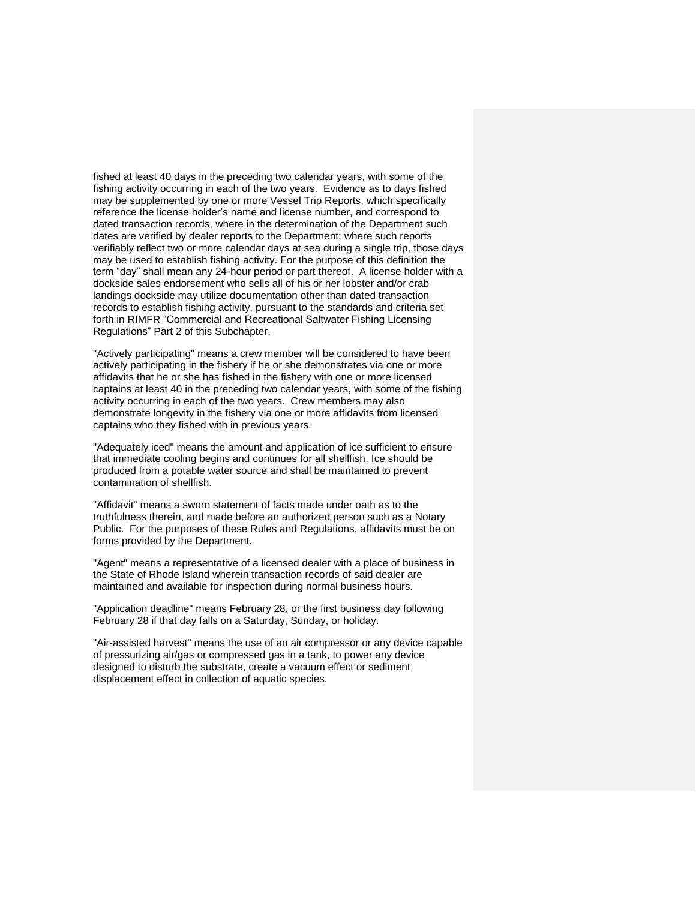fished at least 40 days in the preceding two calendar years, with some of the fishing activity occurring in each of the two years. Evidence as to days fished may be supplemented by one or more Vessel Trip Reports, which specifically reference the license holder's name and license number, and correspond to dated transaction records, where in the determination of the Department such dates are verified by dealer reports to the Department; where such reports verifiably reflect two or more calendar days at sea during a single trip, those days may be used to establish fishing activity. For the purpose of this definition the term "day" shall mean any 24-hour period or part thereof. A license holder with a dockside sales endorsement who sells all of his or her lobster and/or crab landings dockside may utilize documentation other than dated transaction records to establish fishing activity, pursuant to the standards and criteria set forth in RIMFR "Commercial and Recreational Saltwater Fishing Licensing Regulations" Part 2 of this Subchapter.

"Actively participating" means a crew member will be considered to have been actively participating in the fishery if he or she demonstrates via one or more affidavits that he or she has fished in the fishery with one or more licensed captains at least 40 in the preceding two calendar years, with some of the fishing activity occurring in each of the two years. Crew members may also demonstrate longevity in the fishery via one or more affidavits from licensed captains who they fished with in previous years.

"Adequately iced" means the amount and application of ice sufficient to ensure that immediate cooling begins and continues for all shellfish. Ice should be produced from a potable water source and shall be maintained to prevent contamination of shellfish.

"Affidavit" means a sworn statement of facts made under oath as to the truthfulness therein, and made before an authorized person such as a Notary Public. For the purposes of these Rules and Regulations, affidavits must be on forms provided by the Department.

"Agent" means a representative of a licensed dealer with a place of business in the State of Rhode Island wherein transaction records of said dealer are maintained and available for inspection during normal business hours.

"Application deadline" means February 28, or the first business day following February 28 if that day falls on a Saturday, Sunday, or holiday.

"Air-assisted harvest" means the use of an air compressor or any device capable of pressurizing air/gas or compressed gas in a tank, to power any device designed to disturb the substrate, create a vacuum effect or sediment displacement effect in collection of aquatic species.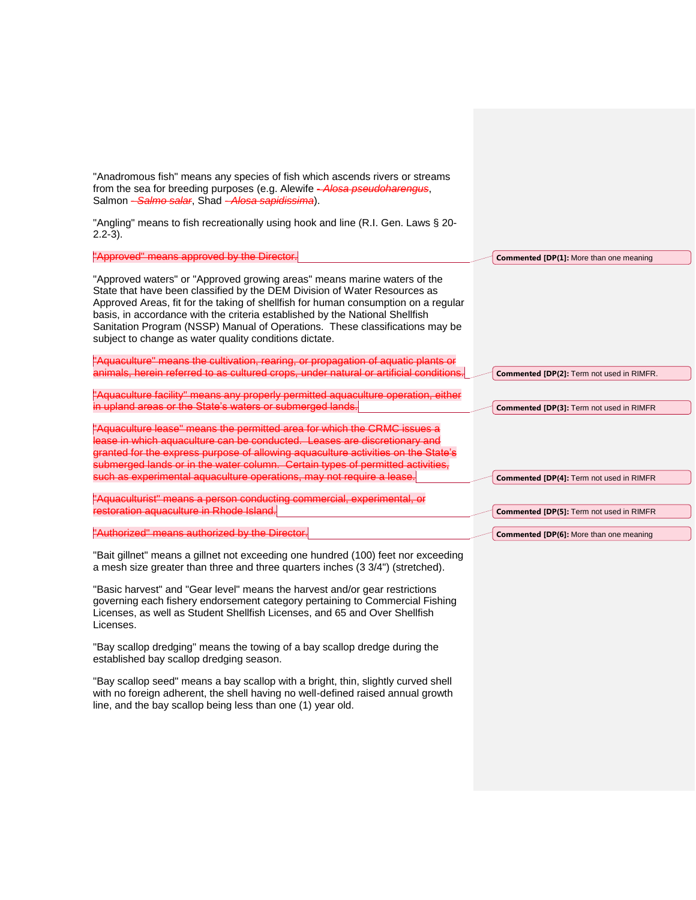| "Anadromous fish" means any species of fish which ascends rivers or streams<br>from the sea for breeding purposes (e.g. Alewife - Alosa pseudoharengus,<br>Salmon - Salmo salar, Shad - Alosa sapidissima).                                                                                                                                                                                                                                                           |                                                |
|-----------------------------------------------------------------------------------------------------------------------------------------------------------------------------------------------------------------------------------------------------------------------------------------------------------------------------------------------------------------------------------------------------------------------------------------------------------------------|------------------------------------------------|
| "Angling" means to fish recreationally using hook and line (R.I. Gen. Laws § 20-<br>$2.2-3$ ).                                                                                                                                                                                                                                                                                                                                                                        |                                                |
| "Approved" means approved by the Director.                                                                                                                                                                                                                                                                                                                                                                                                                            | <b>Commented [DP(1]: More than one meaning</b> |
| "Approved waters" or "Approved growing areas" means marine waters of the<br>State that have been classified by the DEM Division of Water Resources as<br>Approved Areas, fit for the taking of shellfish for human consumption on a regular<br>basis, in accordance with the criteria established by the National Shellfish<br>Sanitation Program (NSSP) Manual of Operations. These classifications may be<br>subject to change as water quality conditions dictate. |                                                |
| "Aquaculture" means the cultivation, rearing, or propagation of aquatic plants or<br>animals, herein referred to as cultured crops, under natural or artificial conditions.                                                                                                                                                                                                                                                                                           | Commented [DP(2]: Term not used in RIMFR.      |
| "Aquaculture facility" means any properly permitted aquaculture operation, either<br>in upland areas or the State's waters or submerged lands.                                                                                                                                                                                                                                                                                                                        | Commented [DP(3]: Term not used in RIMFR       |
| "Aquaculture lease" means the permitted area for which the CRMC issues a<br>lease in which aquaculture can be conducted. Leases are discretionary and<br>granted for the express purpose of allowing aquaculture activities on the State's<br>submerged lands or in the water column. Certain types of permitted activities,                                                                                                                                          |                                                |
| such as experimental aquaculture operations, may not require a lease.                                                                                                                                                                                                                                                                                                                                                                                                 | Commented [DP(4]: Term not used in RIMFR       |
| "Aquaculturist" means a person conducting commercial, experimental, or<br>restoration aquaculture in Rhode Island.                                                                                                                                                                                                                                                                                                                                                    | Commented [DP(5]: Term not used in RIMFR       |
| "Authorized" means authorized by the Director.                                                                                                                                                                                                                                                                                                                                                                                                                        | <b>Commented [DP(6]:</b> More than one meaning |
| "Bait gillnet" means a gillnet not exceeding one hundred (100) feet nor exceeding<br>a mesh size greater than three and three quarters inches (3 3/4") (stretched).<br>"Basic harvest" and "Gear level" means the harvest and/or gear restrictions                                                                                                                                                                                                                    |                                                |

governing each fishery endorsement category pertaining to Commercial Fishing Licenses, as well as Student Shellfish Licenses, and 65 and Over Shellfish Licenses.

"Bay scallop dredging" means the towing of a bay scallop dredge during the established bay scallop dredging season.

"Bay scallop seed" means a bay scallop with a bright, thin, slightly curved shell with no foreign adherent, the shell having no well-defined raised annual growth line, and the bay scallop being less than one (1) year old.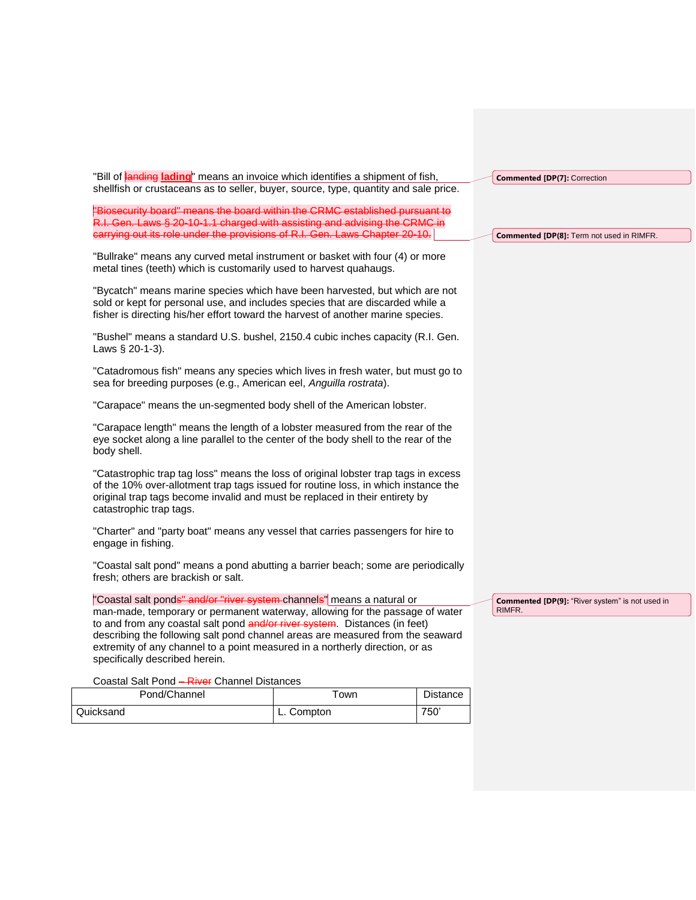| "Bill of <b>landing lading</b> " means an invoice which identifies a shipment of fish,                                                                                                                                                                                              |      |                 | <b>Commented [DP(7]: Correction</b>             |
|-------------------------------------------------------------------------------------------------------------------------------------------------------------------------------------------------------------------------------------------------------------------------------------|------|-----------------|-------------------------------------------------|
| shellfish or crustaceans as to seller, buyer, source, type, quantity and sale price.                                                                                                                                                                                                |      |                 |                                                 |
| "Biosecurity board" means the board within the CRMC established pursuant to                                                                                                                                                                                                         |      |                 |                                                 |
| R.I. Gen. Laws § 20-10-1.1 charged with assisting and advising the CRMC in                                                                                                                                                                                                          |      |                 |                                                 |
| carrying out its role under the provisions of R.I. Gen. Laws Chapter 20-10.                                                                                                                                                                                                         |      |                 | Commented [DP(8]: Term not used in RIMFR.       |
| "Bullrake" means any curved metal instrument or basket with four (4) or more<br>metal tines (teeth) which is customarily used to harvest quahaugs.                                                                                                                                  |      |                 |                                                 |
| "Bycatch" means marine species which have been harvested, but which are not<br>sold or kept for personal use, and includes species that are discarded while a<br>fisher is directing his/her effort toward the harvest of another marine species.                                   |      |                 |                                                 |
| "Bushel" means a standard U.S. bushel, 2150.4 cubic inches capacity (R.I. Gen.<br>Laws § 20-1-3).                                                                                                                                                                                   |      |                 |                                                 |
| "Catadromous fish" means any species which lives in fresh water, but must go to<br>sea for breeding purposes (e.g., American eel, Anguilla rostrata).                                                                                                                               |      |                 |                                                 |
| "Carapace" means the un-segmented body shell of the American lobster.                                                                                                                                                                                                               |      |                 |                                                 |
| "Carapace length" means the length of a lobster measured from the rear of the<br>eye socket along a line parallel to the center of the body shell to the rear of the<br>body shell.                                                                                                 |      |                 |                                                 |
| "Catastrophic trap tag loss" means the loss of original lobster trap tags in excess<br>of the 10% over-allotment trap tags issued for routine loss, in which instance the<br>original trap tags become invalid and must be replaced in their entirety by<br>catastrophic trap tags. |      |                 |                                                 |
| "Charter" and "party boat" means any vessel that carries passengers for hire to<br>engage in fishing.                                                                                                                                                                               |      |                 |                                                 |
| "Coastal salt pond" means a pond abutting a barrier beach; some are periodically<br>fresh; others are brackish or salt.                                                                                                                                                             |      |                 |                                                 |
| "Coastal salt ponds" and/or "river system channels" means a natural or                                                                                                                                                                                                              |      |                 | Commented [DP(9]: "River system" is not used in |
| man-made, temporary or permanent waterway, allowing for the passage of water                                                                                                                                                                                                        |      |                 | RIMFR.                                          |
| to and from any coastal salt pond and/or river system. Distances (in feet)                                                                                                                                                                                                          |      |                 |                                                 |
| describing the following salt pond channel areas are measured from the seaward<br>extremity of any channel to a point measured in a northerly direction, or as                                                                                                                      |      |                 |                                                 |
| specifically described herein.                                                                                                                                                                                                                                                      |      |                 |                                                 |
| Coastal Salt Pond - River Channel Distances                                                                                                                                                                                                                                         |      |                 |                                                 |
| Pond/Channel                                                                                                                                                                                                                                                                        | Town | <b>Distance</b> |                                                 |

Quicksand L. Compton 750'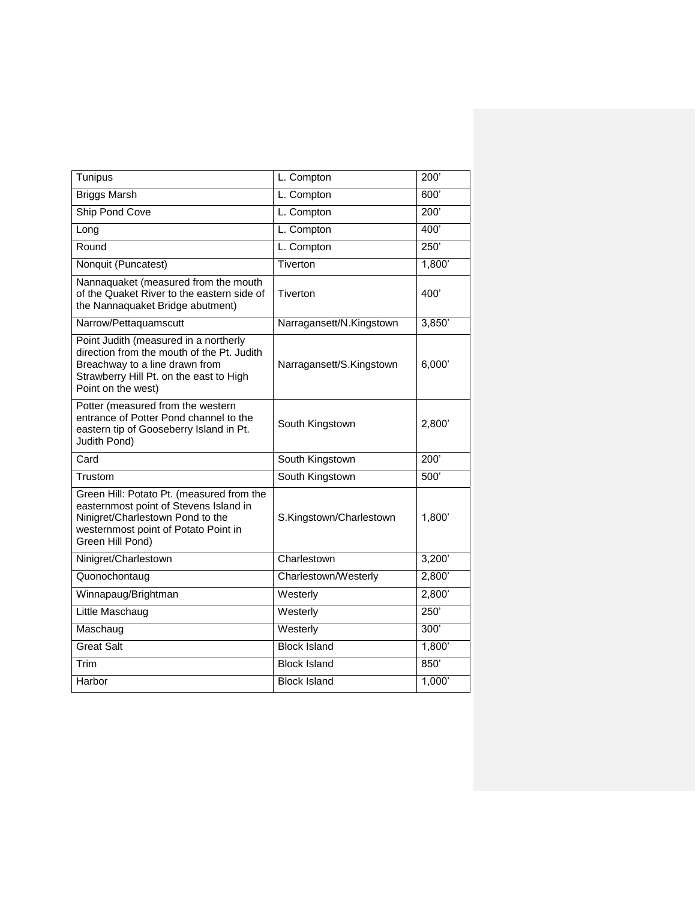| Tunipus                                                                                                                                                                                | L. Compton               | 200'   |
|----------------------------------------------------------------------------------------------------------------------------------------------------------------------------------------|--------------------------|--------|
| <b>Briggs Marsh</b>                                                                                                                                                                    | L. Compton               | 600    |
| Ship Pond Cove                                                                                                                                                                         | L. Compton               | 200'   |
| Long                                                                                                                                                                                   | L. Compton               | 400'   |
| Round                                                                                                                                                                                  | L. Compton               | 250'   |
| Nonquit (Puncatest)                                                                                                                                                                    | Tiverton                 | 1,800' |
| Nannaquaket (measured from the mouth<br>of the Quaket River to the eastern side of<br>the Nannaquaket Bridge abutment)                                                                 | Tiverton                 | 400'   |
| Narrow/Pettaquamscutt                                                                                                                                                                  | Narragansett/N.Kingstown | 3,850' |
| Point Judith (measured in a northerly<br>direction from the mouth of the Pt. Judith<br>Breachway to a line drawn from<br>Strawberry Hill Pt. on the east to High<br>Point on the west) | Narragansett/S.Kingstown | 6,000' |
| Potter (measured from the western<br>entrance of Potter Pond channel to the<br>eastern tip of Gooseberry Island in Pt.<br>Judith Pond)                                                 | South Kingstown          | 2,800' |
| Card                                                                                                                                                                                   | South Kingstown          | 200'   |
| Trustom                                                                                                                                                                                | South Kingstown          | 500'   |
| Green Hill: Potato Pt. (measured from the<br>easternmost point of Stevens Island in<br>Ninigret/Charlestown Pond to the<br>westernmost point of Potato Point in<br>Green Hill Pond)    | S.Kingstown/Charlestown  | 1,800' |
| Ninigret/Charlestown                                                                                                                                                                   | Charlestown              | 3,200' |
| Quonochontaug                                                                                                                                                                          | Charlestown/Westerly     | 2,800' |
| Winnapaug/Brightman                                                                                                                                                                    | Westerly                 | 2,800' |
| Little Maschaug                                                                                                                                                                        | Westerly                 | 250    |
| Maschaug                                                                                                                                                                               | Westerly                 | 300'   |
| <b>Great Salt</b>                                                                                                                                                                      | <b>Block Island</b>      | 1,800' |
| Trim                                                                                                                                                                                   | <b>Block Island</b>      | 850    |
| Harbor                                                                                                                                                                                 | <b>Block Island</b>      | 1,000' |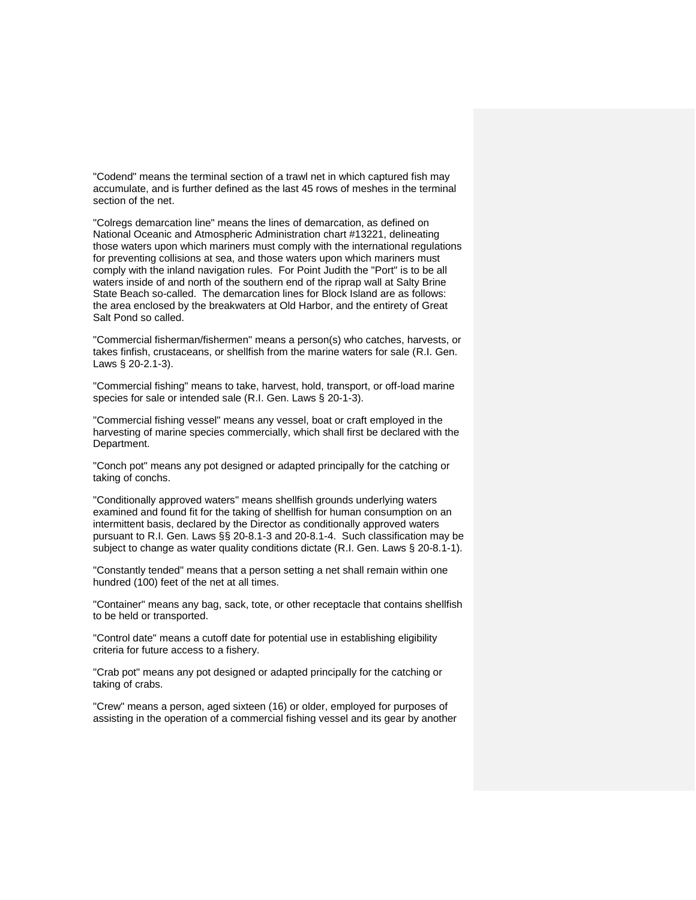"Codend" means the terminal section of a trawl net in which captured fish may accumulate, and is further defined as the last 45 rows of meshes in the terminal section of the net.

"Colregs demarcation line" means the lines of demarcation, as defined on National Oceanic and Atmospheric Administration chart #13221, delineating those waters upon which mariners must comply with the international regulations for preventing collisions at sea, and those waters upon which mariners must comply with the inland navigation rules. For Point Judith the "Port" is to be all waters inside of and north of the southern end of the riprap wall at Salty Brine State Beach so-called. The demarcation lines for Block Island are as follows: the area enclosed by the breakwaters at Old Harbor, and the entirety of Great Salt Pond so called.

"Commercial fisherman/fishermen" means a person(s) who catches, harvests, or takes finfish, crustaceans, or shellfish from the marine waters for sale (R.I. Gen. Laws § 20-2.1-3).

"Commercial fishing" means to take, harvest, hold, transport, or off-load marine species for sale or intended sale (R.I. Gen. Laws § 20-1-3).

"Commercial fishing vessel" means any vessel, boat or craft employed in the harvesting of marine species commercially, which shall first be declared with the Department.

"Conch pot" means any pot designed or adapted principally for the catching or taking of conchs.

"Conditionally approved waters" means shellfish grounds underlying waters examined and found fit for the taking of shellfish for human consumption on an intermittent basis, declared by the Director as conditionally approved waters pursuant to R.I. Gen. Laws §§ 20-8.1-3 and 20-8.1-4. Such classification may be subject to change as water quality conditions dictate (R.I. Gen. Laws § 20-8.1-1).

"Constantly tended" means that a person setting a net shall remain within one hundred (100) feet of the net at all times.

"Container" means any bag, sack, tote, or other receptacle that contains shellfish to be held or transported.

"Control date" means a cutoff date for potential use in establishing eligibility criteria for future access to a fishery.

"Crab pot" means any pot designed or adapted principally for the catching or taking of crabs.

"Crew" means a person, aged sixteen (16) or older, employed for purposes of assisting in the operation of a commercial fishing vessel and its gear by another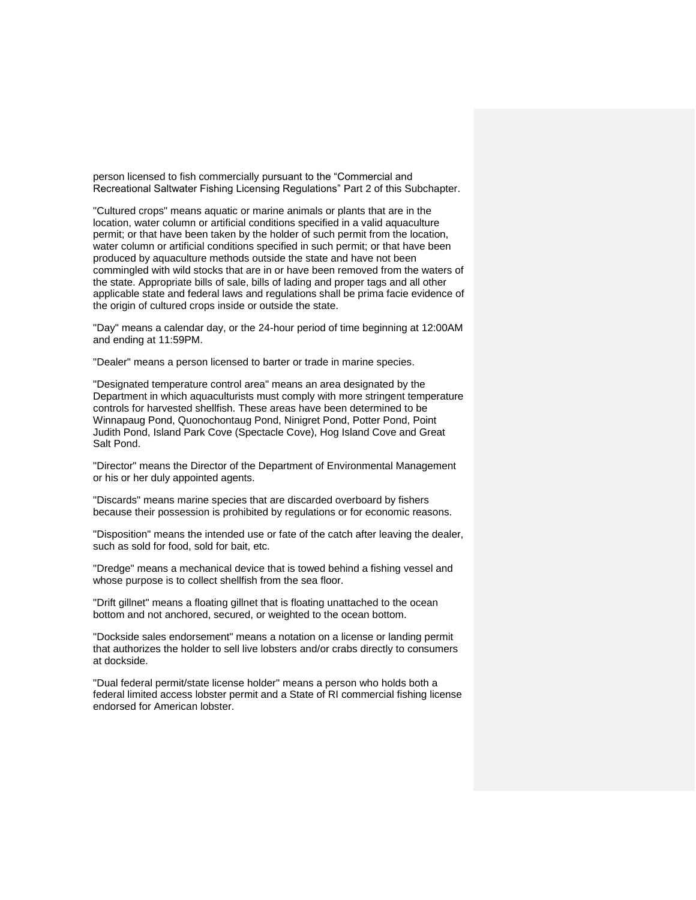person licensed to fish commercially pursuant to the "Commercial and Recreational Saltwater Fishing Licensing Regulations" Part 2 of this Subchapter.

"Cultured crops" means aquatic or marine animals or plants that are in the location, water column or artificial conditions specified in a valid aquaculture permit; or that have been taken by the holder of such permit from the location, water column or artificial conditions specified in such permit; or that have been produced by aquaculture methods outside the state and have not been commingled with wild stocks that are in or have been removed from the waters of the state. Appropriate bills of sale, bills of lading and proper tags and all other applicable state and federal laws and regulations shall be prima facie evidence of the origin of cultured crops inside or outside the state.

"Day" means a calendar day, or the 24-hour period of time beginning at 12:00AM and ending at 11:59PM.

"Dealer" means a person licensed to barter or trade in marine species.

"Designated temperature control area" means an area designated by the Department in which aquaculturists must comply with more stringent temperature controls for harvested shellfish. These areas have been determined to be Winnapaug Pond, Quonochontaug Pond, Ninigret Pond, Potter Pond, Point Judith Pond, Island Park Cove (Spectacle Cove), Hog Island Cove and Great Salt Pond.

"Director" means the Director of the Department of Environmental Management or his or her duly appointed agents.

"Discards" means marine species that are discarded overboard by fishers because their possession is prohibited by regulations or for economic reasons.

"Disposition" means the intended use or fate of the catch after leaving the dealer, such as sold for food, sold for bait, etc.

"Dredge" means a mechanical device that is towed behind a fishing vessel and whose purpose is to collect shellfish from the sea floor.

"Drift gillnet" means a floating gillnet that is floating unattached to the ocean bottom and not anchored, secured, or weighted to the ocean bottom.

"Dockside sales endorsement" means a notation on a license or landing permit that authorizes the holder to sell live lobsters and/or crabs directly to consumers at dockside.

"Dual federal permit/state license holder" means a person who holds both a federal limited access lobster permit and a State of RI commercial fishing license endorsed for American lobster.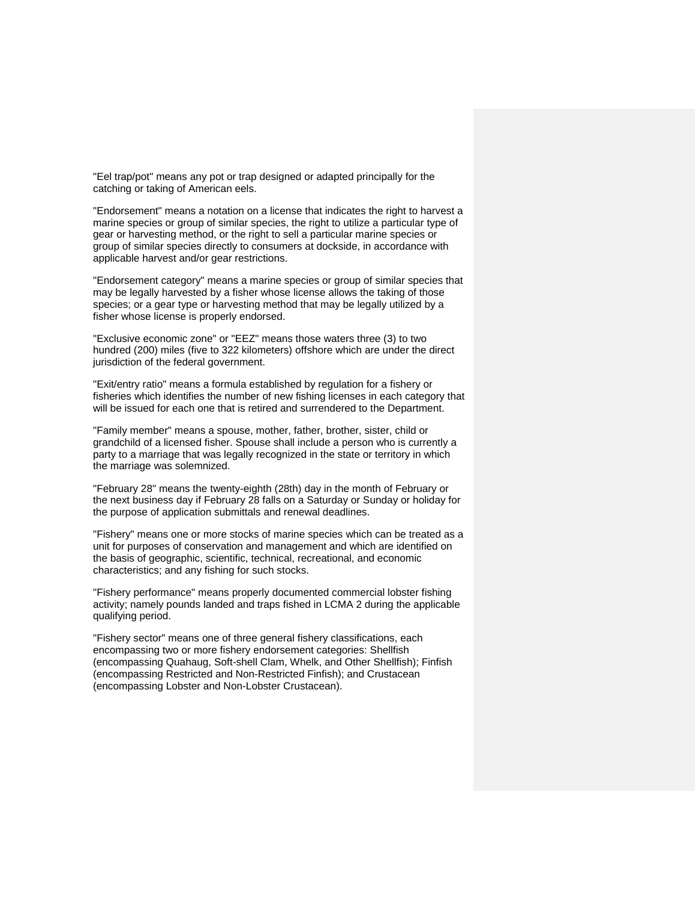"Eel trap/pot" means any pot or trap designed or adapted principally for the catching or taking of American eels.

"Endorsement" means a notation on a license that indicates the right to harvest a marine species or group of similar species, the right to utilize a particular type of gear or harvesting method, or the right to sell a particular marine species or group of similar species directly to consumers at dockside, in accordance with applicable harvest and/or gear restrictions.

"Endorsement category" means a marine species or group of similar species that may be legally harvested by a fisher whose license allows the taking of those species; or a gear type or harvesting method that may be legally utilized by a fisher whose license is properly endorsed.

"Exclusive economic zone" or "EEZ" means those waters three (3) to two hundred (200) miles (five to 322 kilometers) offshore which are under the direct jurisdiction of the federal government.

"Exit/entry ratio" means a formula established by regulation for a fishery or fisheries which identifies the number of new fishing licenses in each category that will be issued for each one that is retired and surrendered to the Department.

"Family member" means a spouse, mother, father, brother, sister, child or grandchild of a licensed fisher. Spouse shall include a person who is currently a party to a marriage that was legally recognized in the state or territory in which the marriage was solemnized.

"February 28" means the twenty-eighth (28th) day in the month of February or the next business day if February 28 falls on a Saturday or Sunday or holiday for the purpose of application submittals and renewal deadlines.

"Fishery" means one or more stocks of marine species which can be treated as a unit for purposes of conservation and management and which are identified on the basis of geographic, scientific, technical, recreational, and economic characteristics; and any fishing for such stocks.

"Fishery performance" means properly documented commercial lobster fishing activity; namely pounds landed and traps fished in LCMA 2 during the applicable qualifying period.

"Fishery sector" means one of three general fishery classifications, each encompassing two or more fishery endorsement categories: Shellfish (encompassing Quahaug, Soft-shell Clam, Whelk, and Other Shellfish); Finfish (encompassing Restricted and Non-Restricted Finfish); and Crustacean (encompassing Lobster and Non-Lobster Crustacean).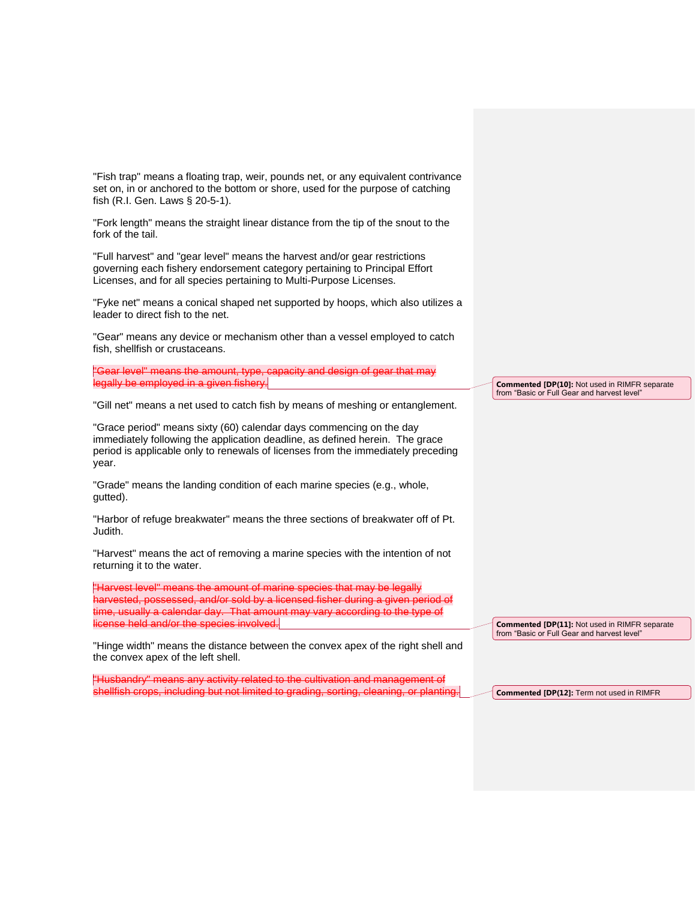"Fish trap" means a floating trap, weir, pounds net, or any equivalent contrivance set on, in or anchored to the bottom or shore, used for the purpose of catching fish (R.I. Gen. Laws § 20-5-1).

"Fork length" means the straight linear distance from the tip of the snout to the fork of the tail.

"Full harvest" and "gear level" means the harvest and/or gear restrictions governing each fishery endorsement category pertaining to Principal Effort Licenses, and for all species pertaining to Multi-Purpose Licenses.

"Fyke net" means a conical shaped net supported by hoops, which also utilizes a leader to direct fish to the net.

"Gear" means any device or mechanism other than a vessel employed to catch fish, shellfish or crustaceans.

"Gear level" means the amount, type, capacity and design of gear that may legally be employed in a given fishery.

"Gill net" means a net used to catch fish by means of meshing or entanglement.

"Grace period" means sixty (60) calendar days commencing on the day immediately following the application deadline, as defined herein. The grace period is applicable only to renewals of licenses from the immediately preceding year.

"Grade" means the landing condition of each marine species (e.g., whole, gutted).

"Harbor of refuge breakwater" means the three sections of breakwater off of Pt. Judith.

"Harvest" means the act of removing a marine species with the intention of not returning it to the water.

"Harvest level" means the amount of marine species that may be legally harvested, possessed, and/or sold by a licensed fisher during a given period of time, usually a calendar day. That amount may vary according to the type of license held and/or the species involved.

"Hinge width" means the distance between the convex apex of the right shell and the convex apex of the left shell.

"Husbandry" means any activity related to the cultivation and management of shellfish crops, including but not limited to grading, sorting, clea

**Commented [DP(10]:** Not used in RIMFR separate from "Basic or Full Gear and harvest level"

**Commented [DP(11]:** Not used in RIMFR separate from "Basic or Full Gear and harvest level"

**Commented [DP(12]:** Term not used in RIMFR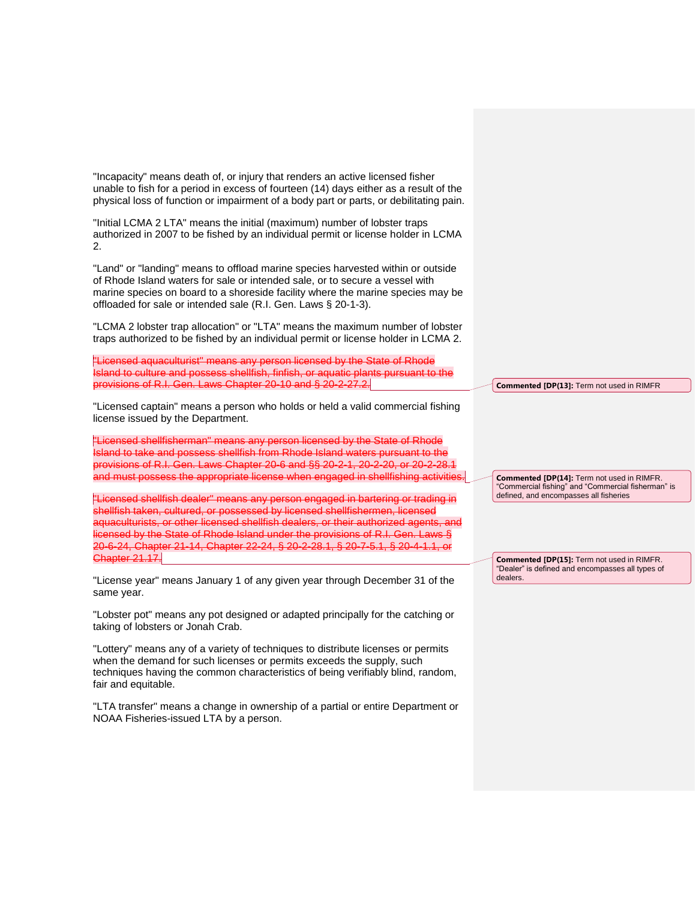"Incapacity" means death of, or injury that renders an active licensed fisher unable to fish for a period in excess of fourteen (14) days either as a result of the physical loss of function or impairment of a body part or parts, or debilitating pain.

"Initial LCMA 2 LTA" means the initial (maximum) number of lobster traps authorized in 2007 to be fished by an individual permit or license holder in LCMA 2.

"Land" or "landing" means to offload marine species harvested within or outside of Rhode Island waters for sale or intended sale, or to secure a vessel with marine species on board to a shoreside facility where the marine species may be offloaded for sale or intended sale (R.I. Gen. Laws § 20-1-3).

"LCMA 2 lobster trap allocation" or "LTA" means the maximum number of lobster traps authorized to be fished by an individual permit or license holder in LCMA 2.

"Licensed aquaculturist" means any person licensed by the State of Rhode Island to culture and possess shellfish, finfish, or aquatic plants pursuant to the provisions of R.I. Gen. Laws Chapter 20-10 and § 20-2-27.2.

"Licensed captain" means a person who holds or held a valid commercial fishing license issued by the Department.

"Licensed shellfisherman" means any person licensed by the State of Rhode Island to take and possess shellfish from Rhode Island waters pursuant to the provisions of R.I. Gen. Laws Chapter 20-6 and §§ 20-2-1, 20-2-20, or 20-2-28.1 and must possess the appropriate license when engaged in shellfishing activities.

"Licensed shellfish dealer" means any person engaged in bartering or trading in shellfish taken, cultured, or possessed by licensed shellfishermen, licensed aquaculturists, or other licensed shellfish dealers, or their authorized agents, and<br>licensed by the State of Rhode Island under the provisions of R.I. Gen. Laws § licensed by the State of Rhode Island under the provisions of R.I. Gen. 20-6-24, Chapter 21-14, Chapter 22-24, § 20-2-28.1, § 20-7-5.1, § 20-4-1.1, or Chapter 21.17.

"License year" means January 1 of any given year through December 31 of the same year.

"Lobster pot" means any pot designed or adapted principally for the catching or taking of lobsters or Jonah Crab.

"Lottery" means any of a variety of techniques to distribute licenses or permits when the demand for such licenses or permits exceeds the supply, such techniques having the common characteristics of being verifiably blind, random, fair and equitable.

"LTA transfer" means a change in ownership of a partial or entire Department or NOAA Fisheries-issued LTA by a person.

**Commented [DP(13]:** Term not used in RIMFR

**Commented [DP(14]:** Term not used in RIMFR. "Commercial fishing" and "Commercial fisherman" is defined, and encompasses all fisheries

**Commented [DP(15]:** Term not used in RIMFR. "Dealer" is defined and encompasses all types of dealers.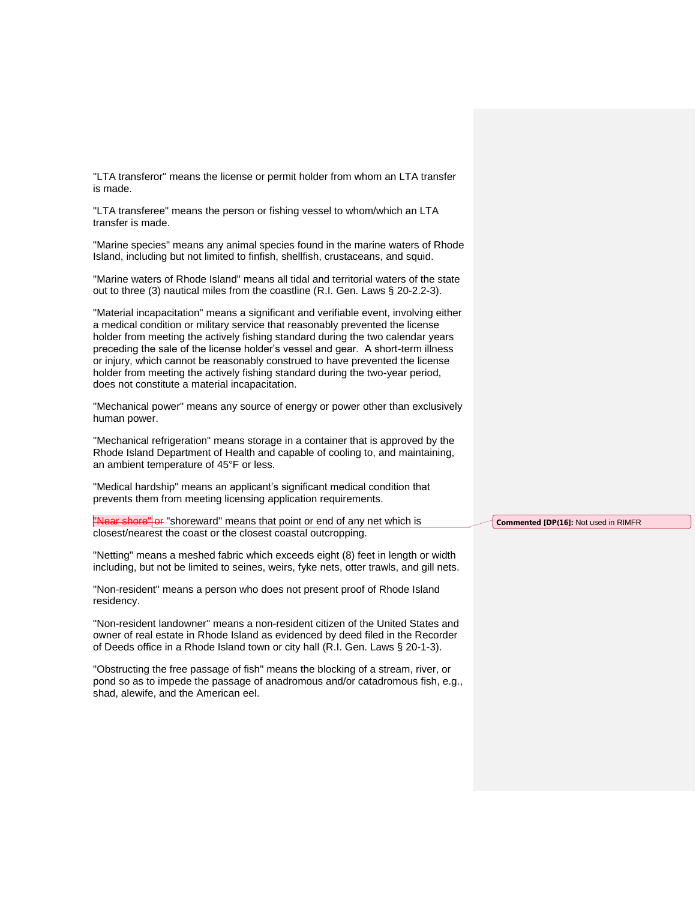"LTA transferor" means the license or permit holder from whom an LTA transfer is made.

"LTA transferee" means the person or fishing vessel to whom/which an LTA transfer is made.

"Marine species" means any animal species found in the marine waters of Rhode Island, including but not limited to finfish, shellfish, crustaceans, and squid.

"Marine waters of Rhode Island" means all tidal and territorial waters of the state out to three (3) nautical miles from the coastline (R.I. Gen. Laws § 20-2.2-3).

"Material incapacitation" means a significant and verifiable event, involving either a medical condition or military service that reasonably prevented the license holder from meeting the actively fishing standard during the two calendar years preceding the sale of the license holder's vessel and gear. A short-term illness or injury, which cannot be reasonably construed to have prevented the license holder from meeting the actively fishing standard during the two-year period, does not constitute a material incapacitation.

"Mechanical power" means any source of energy or power other than exclusively human power.

"Mechanical refrigeration" means storage in a container that is approved by the Rhode Island Department of Health and capable of cooling to, and maintaining, an ambient temperature of 45°F or less.

"Medical hardship" means an applicant's significant medical condition that prevents them from meeting licensing application requirements.

"Near shore" or "shoreward" means that point or end of any net which is closest/nearest the coast or the closest coastal outcropping.

"Netting" means a meshed fabric which exceeds eight (8) feet in length or width including, but not be limited to seines, weirs, fyke nets, otter trawls, and gill nets.

"Non-resident" means a person who does not present proof of Rhode Island residency.

"Non-resident landowner" means a non-resident citizen of the United States and owner of real estate in Rhode Island as evidenced by deed filed in the Recorder of Deeds office in a Rhode Island town or city hall (R.I. Gen. Laws § 20-1-3).

"Obstructing the free passage of fish" means the blocking of a stream, river, or pond so as to impede the passage of anadromous and/or catadromous fish, e.g., shad, alewife, and the American eel.

**Commented [DP(16]:** Not used in RIMFR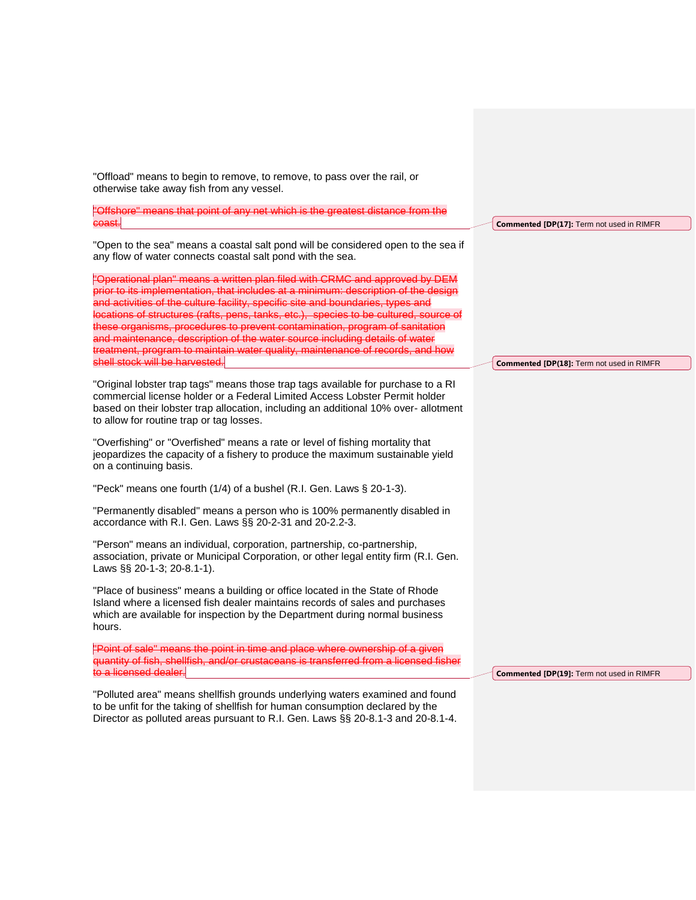| "Offshore" means that point of any net which is the greatest distance from the                                                                                                                                                                                                                                                                                                                                                                                                                                                                                                               |                                           |
|----------------------------------------------------------------------------------------------------------------------------------------------------------------------------------------------------------------------------------------------------------------------------------------------------------------------------------------------------------------------------------------------------------------------------------------------------------------------------------------------------------------------------------------------------------------------------------------------|-------------------------------------------|
| coast.                                                                                                                                                                                                                                                                                                                                                                                                                                                                                                                                                                                       | Commented [DP(17]: Term not used in RIMFR |
| "Open to the sea" means a coastal salt pond will be considered open to the sea if<br>any flow of water connects coastal salt pond with the sea.                                                                                                                                                                                                                                                                                                                                                                                                                                              |                                           |
| "Operational plan" means a written plan filed with CRMC and approved by DEM<br>prior to its implementation, that includes at a minimum: description of the design<br>and activities of the culture facility, specific site and boundaries, types and<br>locations of structures (rafts, pens, tanks, etc.), species to be cultured, source of<br>these organisms, procedures to prevent contamination, program of sanitation<br>and maintenance, description of the water source including details of water<br>treatment, program to maintain water quality, maintenance of records, and how |                                           |
| shell stock will be harvested.                                                                                                                                                                                                                                                                                                                                                                                                                                                                                                                                                               | Commented [DP(18]: Term not used in RIMFR |
| "Original lobster trap tags" means those trap tags available for purchase to a RI<br>commercial license holder or a Federal Limited Access Lobster Permit holder<br>based on their lobster trap allocation, including an additional 10% over-allotment<br>to allow for routine trap or tag losses.                                                                                                                                                                                                                                                                                           |                                           |
| "Overfishing" or "Overfished" means a rate or level of fishing mortality that<br>jeopardizes the capacity of a fishery to produce the maximum sustainable yield<br>on a continuing basis.                                                                                                                                                                                                                                                                                                                                                                                                    |                                           |
| "Peck" means one fourth (1/4) of a bushel (R.I. Gen. Laws § 20-1-3).                                                                                                                                                                                                                                                                                                                                                                                                                                                                                                                         |                                           |
| "Permanently disabled" means a person who is 100% permanently disabled in<br>accordance with R.I. Gen. Laws §§ 20-2-31 and 20-2.2-3.                                                                                                                                                                                                                                                                                                                                                                                                                                                         |                                           |
| "Person" means an individual, corporation, partnership, co-partnership,<br>association, private or Municipal Corporation, or other legal entity firm (R.I. Gen.<br>Laws §§ 20-1-3; 20-8.1-1).                                                                                                                                                                                                                                                                                                                                                                                                |                                           |
| "Place of business" means a building or office located in the State of Rhode<br>Island where a licensed fish dealer maintains records of sales and purchases<br>which are available for inspection by the Department during normal business<br>hours.                                                                                                                                                                                                                                                                                                                                        |                                           |
| "Point of sale" means the point in time and place where ownership of a giver<br>quantity of fish, shellfish, and/or crustaceans is transferred from a licensed fisher<br>to a licensed dealer.                                                                                                                                                                                                                                                                                                                                                                                               | Commented [DP(19]: Term not used in RIMFR |
| "Polluted area" means shellfish grounds underlying waters examined and found<br>to be unfit for the taking of shellfish for human consumption declared by the<br>Director as polluted areas pursuant to R.I. Gen. Laws §§ 20-8.1-3 and 20-8.1-4.                                                                                                                                                                                                                                                                                                                                             |                                           |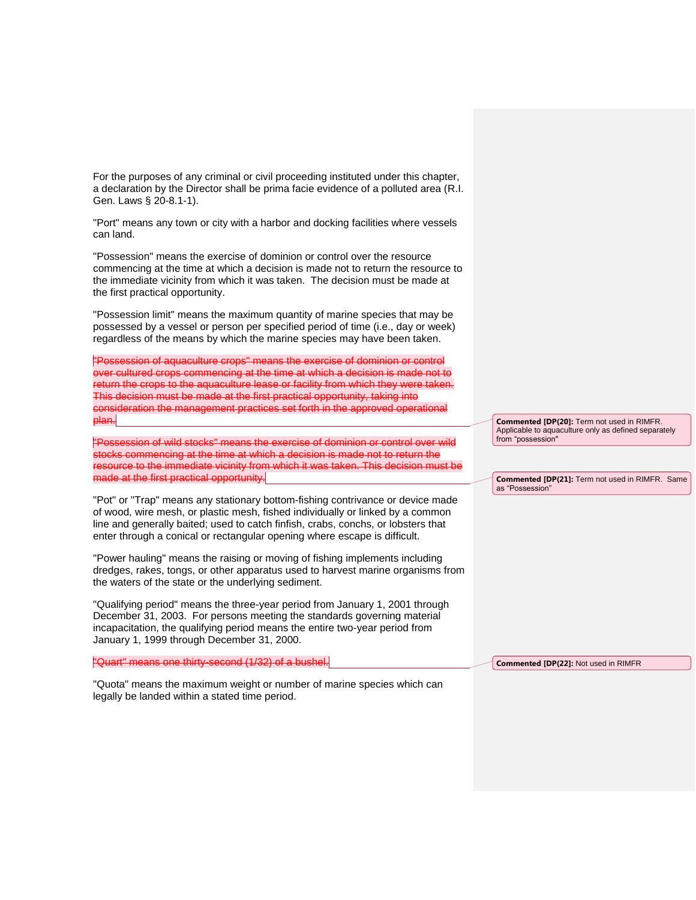For the purposes of any criminal or civil proceeding instituted under this chapter, a declaration by the Director shall be prima facie evidence of a polluted area (R.I. Gen. Laws § 20-8.1-1).

"Port" means any town or city with a harbor and docking facilities where vessels can land.

"Possession" means the exercise of dominion or control over the resource commencing at the time at which a decision is made not to return the resource to the immediate vicinity from which it was taken. The decision must be made at the first practical opportunity.

"Possession limit" means the maximum quantity of marine species that may be possessed by a vessel or person per specified period of time (i.e., day or week) regardless of the means by which the marine species may have been taken.

"Possession of aquaculture crops" means the exercise of dominion or control over cultured crops commencing at the time at which a decision is made not to return the crops to the aquaculture lease or facility from which they were taken. This decision must be made at the first practical opportunity, taking into consideration the management practices set forth in the approved operational plan.

"Possession of wild stocks" means the exercise of dominion or control over wild stocks commencing at the time at which a decision is made not to return the resource to the immediate vicinity from which it was taken. This decision must be made at the first practical opportunity.

"Pot" or "Trap" means any stationary bottom-fishing contrivance or device made of wood, wire mesh, or plastic mesh, fished individually or linked by a common line and generally baited; used to catch finfish, crabs, conchs, or lobsters that enter through a conical or rectangular opening where escape is difficult.

"Power hauling" means the raising or moving of fishing implements including dredges, rakes, tongs, or other apparatus used to harvest marine organisms from the waters of the state or the underlying sediment.

"Qualifying period" means the three-year period from January 1, 2001 through December 31, 2003. For persons meeting the standards governing material incapacitation, the qualifying period means the entire two-year period from January 1, 1999 through December 31, 2000.

"Quart" means one thirty-second (1/32) of a bushel.

"Quota" means the maximum weight or number of marine species which can legally be landed within a stated time period.

**Commented [DP(20]:** Term not used in RIMFR. Applicable to aquaculture only as defined separately from "possession"

**Commented [DP(21]:** Term not used in RIMFR. Same as "Possession"

**Commented [DP(22]:** Not used in RIMFR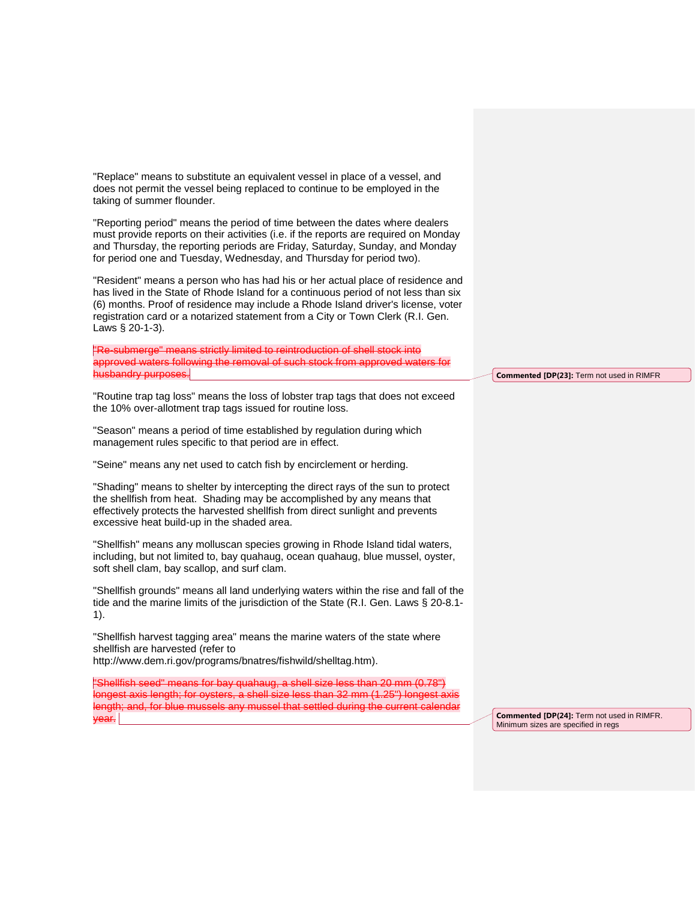"Replace" means to substitute an equivalent vessel in place of a vessel, and does not permit the vessel being replaced to continue to be employed in the taking of summer flounder.

"Reporting period" means the period of time between the dates where dealers must provide reports on their activities (i.e. if the reports are required on Monday and Thursday, the reporting periods are Friday, Saturday, Sunday, and Monday for period one and Tuesday, Wednesday, and Thursday for period two).

"Resident" means a person who has had his or her actual place of residence and has lived in the State of Rhode Island for a continuous period of not less than six (6) months. Proof of residence may include a Rhode Island driver's license, voter registration card or a notarized statement from a City or Town Clerk (R.I. Gen. Laws § 20-1-3).

"Re-submerge" means strictly limited to reintroduction of shell stock into approved waters following the removal of such stock from approved waters for husbandry purposes.

"Routine trap tag loss" means the loss of lobster trap tags that does not exceed the 10% over-allotment trap tags issued for routine loss.

"Season" means a period of time established by regulation during which management rules specific to that period are in effect.

"Seine" means any net used to catch fish by encirclement or herding.

"Shading" means to shelter by intercepting the direct rays of the sun to protect the shellfish from heat. Shading may be accomplished by any means that effectively protects the harvested shellfish from direct sunlight and prevents excessive heat build-up in the shaded area.

"Shellfish" means any molluscan species growing in Rhode Island tidal waters, including, but not limited to, bay quahaug, ocean quahaug, blue mussel, oyster, soft shell clam, bay scallop, and surf clam.

"Shellfish grounds" means all land underlying waters within the rise and fall of the tide and the marine limits of the jurisdiction of the State (R.I. Gen. Laws § 20-8.1- 1).

"Shellfish harvest tagging area" means the marine waters of the state where shellfish are harvested (refer to [http://www.dem.ri.gov/programs/bnatres/fishwild/shelltag.htm\)](http://www.dem.ri.gov/programs/bnatres/fishwild/shelltag.htm).

"Shellfish seed" means for bay quahaug, a shell size less than 20 mm (0.78") longest axis length; for oysters, a shell size less than 32 mm (1.25") longest axis length; and, for blue mussels any mussel that settled during the current calendar  $\mathsf{par}.$ 

**Commented [DP(23]:** Term not used in RIMFR

**Commented [DP(24]:** Term not used in RIMFR. Minimum sizes are specified in regs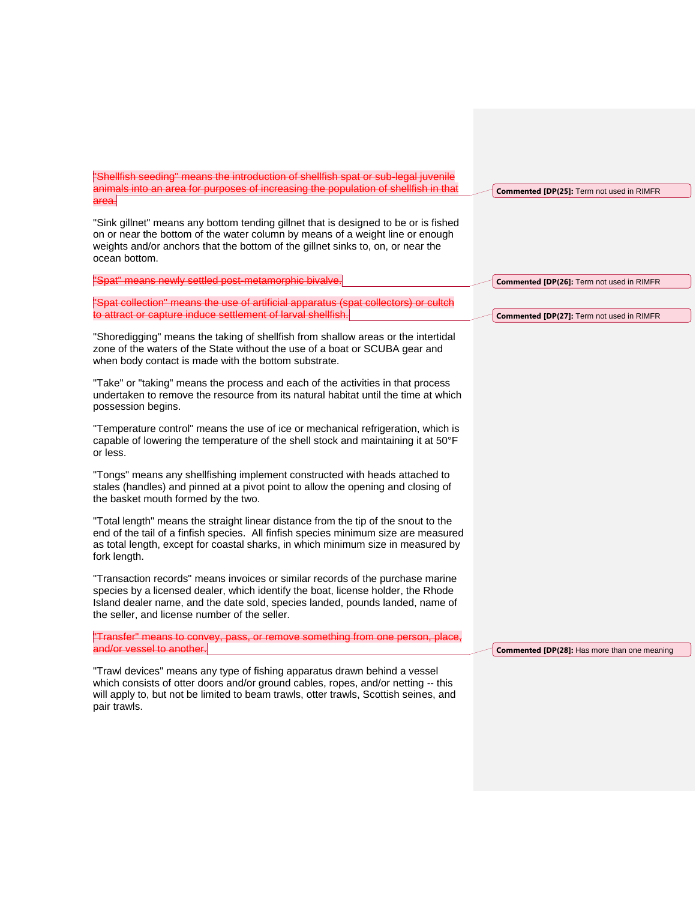| "Shellfish seeding" means the introduction of shellfish spat or sub-legal juvenile<br>animals into an area for purposes of increasing the population of shellfish in that<br>area.                                                                                                                   | <b>Commented [DP(25]: Term not used in RIMFR</b>    |
|------------------------------------------------------------------------------------------------------------------------------------------------------------------------------------------------------------------------------------------------------------------------------------------------------|-----------------------------------------------------|
| "Sink gillnet" means any bottom tending gillnet that is designed to be or is fished<br>on or near the bottom of the water column by means of a weight line or enough<br>weights and/or anchors that the bottom of the gillnet sinks to, on, or near the<br>ocean bottom.                             |                                                     |
| "Spat" means newly settled post-metamorphic bivalve.                                                                                                                                                                                                                                                 | Commented [DP(26]: Term not used in RIMFR           |
| "Spat collection" means the use of artificial apparatus (spat collectors) or cultch<br>to attract or capture induce settlement of larval shellfish.                                                                                                                                                  | <b>Commented [DP(27]: Term not used in RIMFR</b>    |
| "Shoredigging" means the taking of shellfish from shallow areas or the intertidal<br>zone of the waters of the State without the use of a boat or SCUBA gear and<br>when body contact is made with the bottom substrate.                                                                             |                                                     |
| "Take" or "taking" means the process and each of the activities in that process<br>undertaken to remove the resource from its natural habitat until the time at which<br>possession begins.                                                                                                          |                                                     |
| "Temperature control" means the use of ice or mechanical refrigeration, which is<br>capable of lowering the temperature of the shell stock and maintaining it at 50°F<br>or less.                                                                                                                    |                                                     |
| "Tongs" means any shellfishing implement constructed with heads attached to<br>stales (handles) and pinned at a pivot point to allow the opening and closing of<br>the basket mouth formed by the two.                                                                                               |                                                     |
| "Total length" means the straight linear distance from the tip of the snout to the<br>end of the tail of a finfish species. All finfish species minimum size are measured<br>as total length, except for coastal sharks, in which minimum size in measured by<br>fork length.                        |                                                     |
| "Transaction records" means invoices or similar records of the purchase marine<br>species by a licensed dealer, which identify the boat, license holder, the Rhode<br>Island dealer name, and the date sold, species landed, pounds landed, name of<br>the seller, and license number of the seller. |                                                     |
| "Transfer" means to convey, pass, or remove something from one person, place,<br>and/or vessel to another.                                                                                                                                                                                           | <b>Commented [DP(28]:</b> Has more than one meaning |
| "Trawl devices" means any type of fishing apparatus drawn behind a vessel<br>which consists of otter doors and/or ground cables, ropes, and/or netting -- this<br>will apply to, but not be limited to beam trawls, otter trawls, Scottish seines, and<br>pair trawls.                               |                                                     |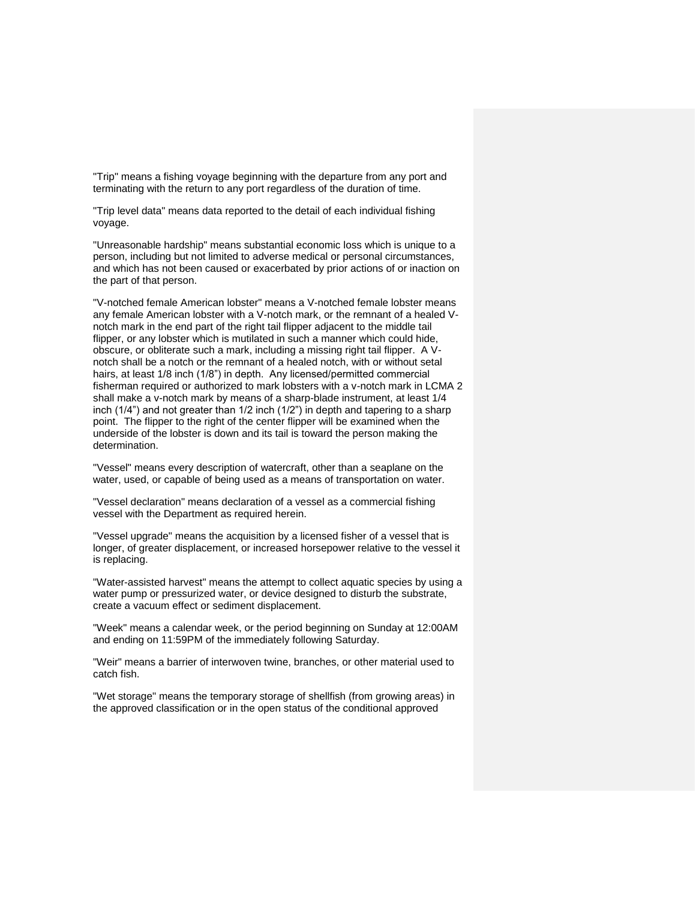"Trip" means a fishing voyage beginning with the departure from any port and terminating with the return to any port regardless of the duration of time.

"Trip level data" means data reported to the detail of each individual fishing voyage.

"Unreasonable hardship" means substantial economic loss which is unique to a person, including but not limited to adverse medical or personal circumstances, and which has not been caused or exacerbated by prior actions of or inaction on the part of that person.

"V-notched female American lobster" means a V-notched female lobster means any female American lobster with a V-notch mark, or the remnant of a healed Vnotch mark in the end part of the right tail flipper adjacent to the middle tail flipper, or any lobster which is mutilated in such a manner which could hide, obscure, or obliterate such a mark, including a missing right tail flipper. A Vnotch shall be a notch or the remnant of a healed notch, with or without setal hairs, at least 1/8 inch (1/8") in depth. Any licensed/permitted commercial fisherman required or authorized to mark lobsters with a v-notch mark in LCMA 2 shall make a v-notch mark by means of a sharp-blade instrument, at least 1/4 inch (1/4") and not greater than 1/2 inch (1/2") in depth and tapering to a sharp point. The flipper to the right of the center flipper will be examined when the underside of the lobster is down and its tail is toward the person making the determination.

"Vessel" means every description of watercraft, other than a seaplane on the water, used, or capable of being used as a means of transportation on water.

"Vessel declaration" means declaration of a vessel as a commercial fishing vessel with the Department as required herein.

"Vessel upgrade" means the acquisition by a licensed fisher of a vessel that is longer, of greater displacement, or increased horsepower relative to the vessel it is replacing.

"Water-assisted harvest" means the attempt to collect aquatic species by using a water pump or pressurized water, or device designed to disturb the substrate, create a vacuum effect or sediment displacement.

"Week" means a calendar week, or the period beginning on Sunday at 12:00AM and ending on 11:59PM of the immediately following Saturday.

"Weir" means a barrier of interwoven twine, branches, or other material used to catch fish.

"Wet storage" means the temporary storage of shellfish (from growing areas) in the approved classification or in the open status of the conditional approved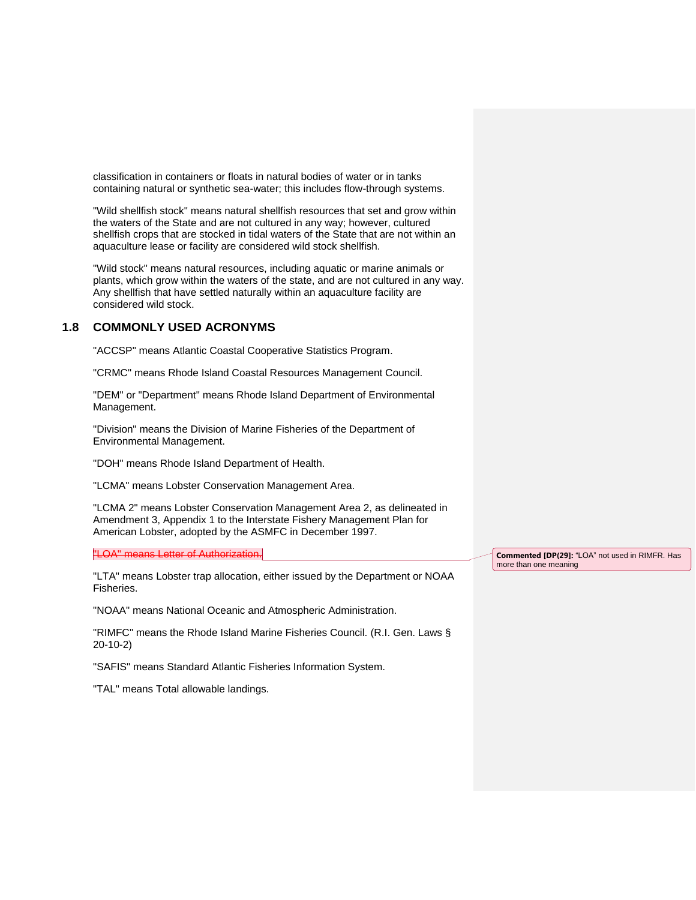classification in containers or floats in natural bodies of water or in tanks containing natural or synthetic sea-water; this includes flow-through systems.

"Wild shellfish stock" means natural shellfish resources that set and grow within the waters of the State and are not cultured in any way; however, cultured shellfish crops that are stocked in tidal waters of the State that are not within an aquaculture lease or facility are considered wild stock shellfish.

"Wild stock" means natural resources, including aquatic or marine animals or plants, which grow within the waters of the state, and are not cultured in any way. Any shellfish that have settled naturally within an aquaculture facility are considered wild stock.

# **1.8 COMMONLY USED ACRONYMS**

"ACCSP" means Atlantic Coastal Cooperative Statistics Program.

"CRMC" means Rhode Island Coastal Resources Management Council.

"DEM" or "Department" means Rhode Island Department of Environmental Management.

"Division" means the Division of Marine Fisheries of the Department of Environmental Management.

"DOH" means Rhode Island Department of Health.

"LCMA" means Lobster Conservation Management Area.

"LCMA 2" means Lobster Conservation Management Area 2, as delineated in Amendment 3, Appendix 1 to the Interstate Fishery Management Plan for American Lobster, adopted by the ASMFC in December 1997.

"LOA" means Letter of Authorization.

"LTA" means Lobster trap allocation, either issued by the Department or NOAA Fisheries.

"NOAA" means National Oceanic and Atmospheric Administration.

"RIMFC" means the Rhode Island Marine Fisheries Council. (R.I. Gen. Laws § 20-10-2)

"SAFIS" means Standard Atlantic Fisheries Information System.

"TAL" means Total allowable landings.

**Commented [DP(29]:** "LOA" not used in RIMFR. Has more than one meaning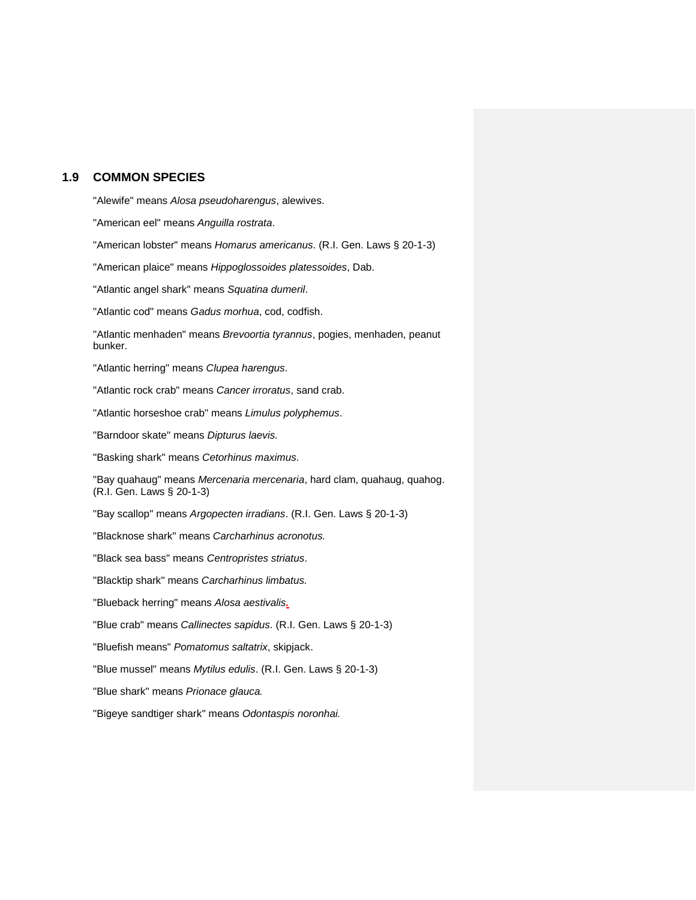# **1.9 COMMON SPECIES**

"Alewife" means *Alosa pseudoharengus*, alewives. "American eel" means *Anguilla rostrata*. "American lobster" means *Homarus americanus*. (R.I. Gen. Laws § 20-1-3) "American plaice" means *Hippoglossoides platessoides*, Dab. "Atlantic angel shark" means *Squatina dumeril*. "Atlantic cod" means *Gadus morhua*, cod, codfish. "Atlantic menhaden" means *Brevoortia tyrannus*, pogies, menhaden, peanut bunker. "Atlantic herring" means *Clupea harengus*. "Atlantic rock crab" means *Cancer irroratus*, sand crab. "Atlantic horseshoe crab" means *Limulus polyphemus*. "Barndoor skate" means *Dipturus laevis.* "Basking shark" means *Cetorhinus maximus*. "Bay quahaug" means *Mercenaria mercenaria*, hard clam, quahaug, quahog. (R.I. Gen. Laws § 20-1-3) "Bay scallop" means *Argopecten irradians*. (R.I. Gen. Laws § 20-1-3) "Blacknose shark" means *Carcharhinus acronotus.* "Black sea bass" means *Centropristes striatus*. "Blacktip shark" means *Carcharhinus limbatus.* "Blueback herring" means *Alosa aestivalis.* "Blue crab" means *Callinectes sapidus*. (R.I. Gen. Laws § 20-1-3) "Bluefish means" *Pomatomus saltatrix*, skipjack. "Blue mussel" means *Mytilus edulis*. (R.I. Gen. Laws § 20-1-3) "Blue shark" means *Prionace glauca.* "Bigeye sandtiger shark" means *Odontaspis noronhai.*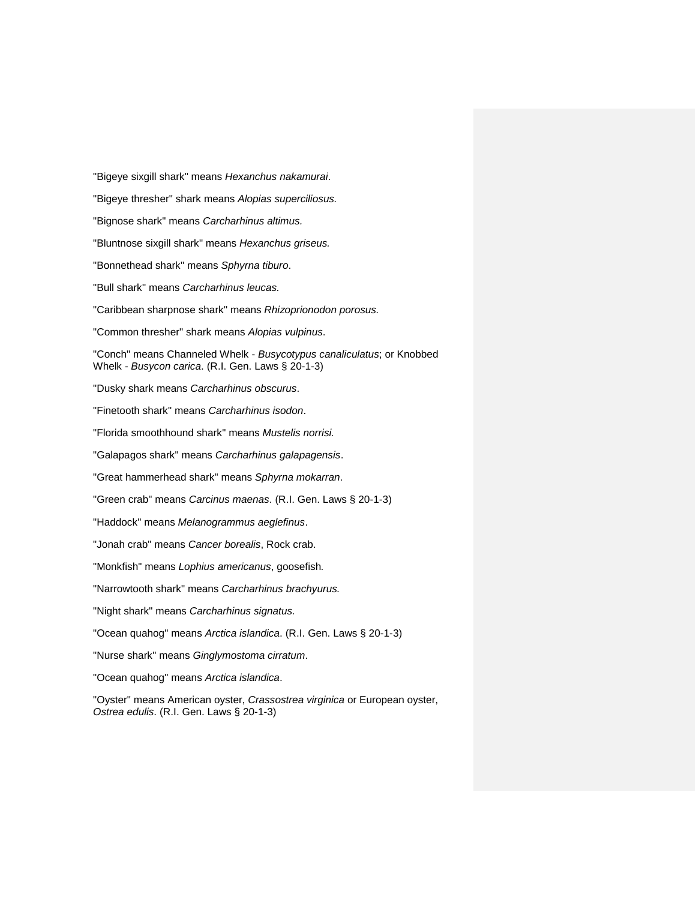"Bigeye sixgill shark" means *Hexanchus nakamurai*. "Bigeye thresher" shark means *Alopias superciliosus.* "Bignose shark" means *Carcharhinus altimus.* "Bluntnose sixgill shark" means *Hexanchus griseus.* "Bonnethead shark" means *Sphyrna tiburo*. "Bull shark" means *Carcharhinus leucas.* "Caribbean sharpnose shark" means *Rhizoprionodon porosus.* "Common thresher" shark means *Alopias vulpinus*. "Conch" means Channeled Whelk - *Busycotypus canaliculatus*; or Knobbed Whelk - *Busycon carica*. (R.I. Gen. Laws § 20-1-3) "Dusky shark means *Carcharhinus obscurus*. "Finetooth shark" means *Carcharhinus isodon*. "Florida smoothhound shark" means *Mustelis norrisi.* "Galapagos shark" means *Carcharhinus galapagensis*. "Great hammerhead shark" means *Sphyrna mokarran*. "Green crab" means *Carcinus maenas*. (R.I. Gen. Laws § 20-1-3) "Haddock" means *Melanogrammus aeglefinus*. "Jonah crab" means *Cancer borealis*, Rock crab. "Monkfish" means *Lophius americanus*, goosefish*.* "Narrowtooth shark" means *Carcharhinus brachyurus.* "Night shark" means *Carcharhinus signatus.* "Ocean quahog" means *Arctica islandica*. (R.I. Gen. Laws § 20-1-3) "Nurse shark" means *Ginglymostoma cirratum*. "Ocean quahog" means *Arctica islandica*.

"Oyster" means American oyster, *Crassostrea virginica* or European oyster, *Ostrea edulis*. (R.I. Gen. Laws § 20-1-3)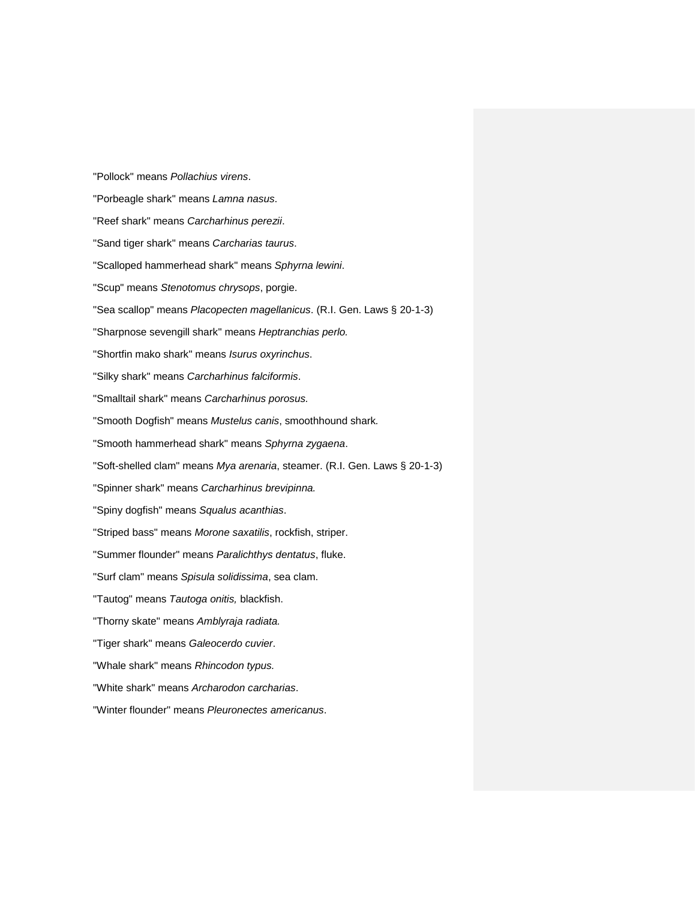"Pollock" means *Pollachius virens*. "Porbeagle shark" means *Lamna nasus*. "Reef shark" means *Carcharhinus perezii*. "Sand tiger shark" means *Carcharias taurus*. "Scalloped hammerhead shark" means *Sphyrna lewini*. "Scup" means *Stenotomus chrysops*, porgie. "Sea scallop" means *Placopecten magellanicus*. (R.I. Gen. Laws § 20-1-3) "Sharpnose sevengill shark" means *Heptranchias perlo.* "Shortfin mako shark" means *Isurus oxyrinchus*. "Silky shark" means *Carcharhinus falciformis*. "Smalltail shark" means *Carcharhinus porosus.* "Smooth Dogfish" means *Mustelus canis*, smoothhound shark*.* "Smooth hammerhead shark" means *Sphyrna zygaena*. "Soft-shelled clam" means *Mya arenaria*, steamer. (R.I. Gen. Laws § 20-1-3) "Spinner shark" means *Carcharhinus brevipinna.* "Spiny dogfish" means *Squalus acanthias*. "Striped bass" means *Morone saxatilis*, rockfish, striper. "Summer flounder" means *Paralichthys dentatus*, fluke. "Surf clam" means *Spisula solidissima*, sea clam. "Tautog" means *Tautoga onitis,* blackfish. "Thorny skate" means *Amblyraja radiata.* "Tiger shark" means *Galeocerdo cuvier*. "Whale shark" means *Rhincodon typus.* "White shark" means *Archarodon carcharias*. "Winter flounder" means *Pleuronectes americanus*.